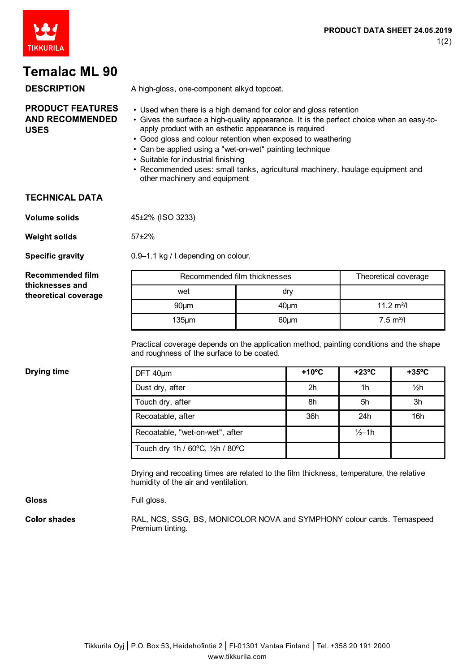

# **Temalac ML 90**

#### **DESCRIPTION**

A high-gloss, one-component alkyd topcoat.

#### **PRODUCT FEATURES AND RECOMMENDED USES**

- Used when there is a high demand for color and gloss retention
- Gives the surface a high-quality appearance. It is the perfect choice when an easy-toapply product with an esthetic appearance is required
- Good gloss and colour retention when exposed to weathering
- Can be applied using a "wet-on-wet" painting technique
- Suitable for industrial finishing
- Recommended uses: small tanks, agricultural machinery, haulage equipment and other machinery and equipment

#### **TECHNICAL DATA**

**Volume solids** 45±2% (ISO 3233)

57±2%

Full gloss.

**Weight solids** 

**Specific gravity** 

**Recommended film** thicknesses and theoretical coverage 0.9–1.1 kg / l depending on colour.

| Recommended film thicknesses |            | Theoretical coverage |
|------------------------------|------------|----------------------|
| wet                          | dry        |                      |
| $90 \mu m$                   | $40 \mu m$ | 11.2 $m^2/l$         |
| $135 \mu m$                  | $60 \mu m$ | $7.5 \text{ m}^2$ /I |

Practical coverage depends on the application method, painting conditions and the shape and roughness of the surface to be coated.

#### **Drying time**

| DFT 40µm                         | $+10^{\circ}$ C | $+23^{\circ}C$    | $+35^{\circ}$ C |
|----------------------------------|-----------------|-------------------|-----------------|
| Dust dry, after                  | 2 <sub>h</sub>  | 1h                | 1/2h            |
| Touch dry, after                 | 8h              | 5h                | 3h              |
| Recoatable, after                | 36h             | 24h               | 16h             |
| Recoatable, "wet-on-wet", after  |                 | $\frac{1}{2}$ –1h |                 |
| Touch dry 1h / 60°C, 1/2h / 80°C |                 |                   |                 |

Drying and recoating times are related to the film thickness, temperature, the relative humidity of the air and ventilation.

**Gloss** 

**Color shades** 

RAL, NCS, SSG, BS, MONICOLOR NOVA and SYMPHONY colour cards. Temaspeed Premium tinting.